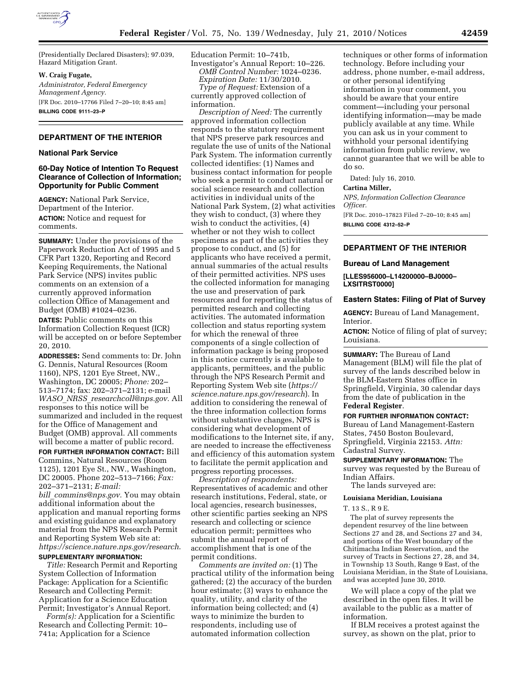

(Presidentially Declared Disasters); 97.039, Hazard Mitigation Grant.

## **W. Craig Fugate,**

*Administrator, Federal Emergency Management Agency.*  [FR Doc. 2010–17766 Filed 7–20–10; 8:45 am] **BILLING CODE 9111–23–P** 

## **DEPARTMENT OF THE INTERIOR**

### **National Park Service**

## **60-Day Notice of Intention To Request Clearance of Collection of Information; Opportunity for Public Comment**

**AGENCY:** National Park Service, Department of the Interior. **ACTION:** Notice and request for comments.

**SUMMARY:** Under the provisions of the Paperwork Reduction Act of 1995 and 5 CFR Part 1320, Reporting and Record Keeping Requirements, the National Park Service (NPS) invites public comments on an extension of a currently approved information collection Office of Management and Budget (OMB) #1024–0236.

**DATES:** Public comments on this Information Collection Request (ICR) will be accepted on or before September 20, 2010.

**ADDRESSES:** Send comments to: Dr. John G. Dennis, Natural Resources (Room 1160), NPS, 1201 Eye Street, NW., Washington, DC 20005; *Phone:* 202– 513–7174; fax: 202–371–2131; e-mail *WASO*\_*NRSS*\_*[researchcoll@nps.gov.](mailto:WASO_NRSS_researchcoll@nps.gov)* All responses to this notice will be summarized and included in the request for the Office of Management and Budget (OMB) approval. All comments will become a matter of public record.

**FOR FURTHER INFORMATION CONTACT:** Bill Commins, Natural Resources (Room 1125), 1201 Eye St., NW., Washington, DC 20005. Phone 202–513–7166; *Fax:*  202–371–2131; *E-mail:* 

*bill*\_*[commins@nps.gov.](mailto:bill_commins@nps.gov)* You may obtain additional information about the application and manual reporting forms and existing guidance and explanatory material from the NPS Research Permit and Reporting System Web site at: *<https://science.nature.nps.gov/research>*. **SUPPLEMENTARY INFORMATION:** 

*Title:* Research Permit and Reporting System Collection of Information Package: Application for a Scientific Research and Collecting Permit: Application for a Science Education Permit; Investigator's Annual Report.

*Form(s):* Application for a Scientific Research and Collecting Permit: 10– 741a; Application for a Science

Education Permit: 10–741b, Investigator's Annual Report: 10–226.

*OMB Control Number:* 1024–0236. *Expiration Date:* 11/30/2010. *Type of Request:* Extension of a

currently approved collection of information.

*Description of Need:* The currently approved information collection responds to the statutory requirement that NPS preserve park resources and regulate the use of units of the National Park System. The information currently collected identifies: (1) Names and business contact information for people who seek a permit to conduct natural or social science research and collection activities in individual units of the National Park System, (2) what activities they wish to conduct, (3) where they wish to conduct the activities, (4) whether or not they wish to collect specimens as part of the activities they propose to conduct, and (5) for applicants who have received a permit, annual summaries of the actual results of their permitted activities. NPS uses the collected information for managing the use and preservation of park resources and for reporting the status of permitted research and collecting activities. The automated information collection and status reporting system for which the renewal of three components of a single collection of information package is being proposed in this notice currently is available to applicants, permittees, and the public through the NPS Research Permit and Reporting System Web site (*[https://](https://science.nature.nps.gov/research)  [science.nature.nps.gov/research](https://science.nature.nps.gov/research)*). In addition to considering the renewal of the three information collection forms without substantive changes, NPS is considering what development of modifications to the Internet site, if any, are needed to increase the effectiveness and efficiency of this automation system to facilitate the permit application and progress reporting processes.

*Description of respondents:*  Representatives of academic and other research institutions, Federal, state, or local agencies, research businesses, other scientific parties seeking an NPS research and collecting or science education permit; permittees who submit the annual report of accomplishment that is one of the permit conditions.

*Comments are invited on:* (1) The practical utility of the information being gathered; (2) the accuracy of the burden hour estimate; (3) ways to enhance the quality, utility, and clarity of the information being collected; and (4) ways to minimize the burden to respondents, including use of automated information collection

techniques or other forms of information technology. Before including your address, phone number, e-mail address, or other personal identifying information in your comment, you should be aware that your entire comment—including your personal identifying information—may be made publicly available at any time. While you can ask us in your comment to withhold your personal identifying information from public review, we cannot guarantee that we will be able to do so.

Dated: July 16, 2010.

## **Cartina Miller,**

*NPS, Information Collection Clearance Officer.*  [FR Doc. 2010–17823 Filed 7–20–10; 8:45 am] **BILLING CODE 4312–52–P** 

## **DEPARTMENT OF THE INTERIOR**

### **Bureau of Land Management**

**[LLES956000–L14200000–BJ0000– LXSITRST0000]** 

### **Eastern States: Filing of Plat of Survey**

**AGENCY:** Bureau of Land Management, Interior.

**ACTION:** Notice of filing of plat of survey; Louisiana.

**SUMMARY:** The Bureau of Land Management (BLM) will file the plat of survey of the lands described below in the BLM-Eastern States office in Springfield, Virginia, 30 calendar days from the date of publication in the **Federal Register**.

**FOR FURTHER INFORMATION CONTACT:**  Bureau of Land Management-Eastern States, 7450 Boston Boulevard, Springfield, Virginia 22153. *Attn:*  Cadastral Survey.

**SUPPLEMENTARY INFORMATION:** The survey was requested by the Bureau of Indian Affairs.

The lands surveyed are:

### **Louisiana Meridian, Louisiana**

T. 13 S., R 9 E.

The plat of survey represents the dependent resurvey of the line between Sections 27 and 28, and Sections 27 and 34, and portions of the West boundary of the Chitimacha Indian Reservation, and the survey of Tracts in Sections 27, 28, and 34, in Township 13 South, Range 9 East, of the Louisiana Meridian, in the State of Louisiana, and was accepted June 30, 2010.

We will place a copy of the plat we described in the open files. It will be available to the public as a matter of information.

If BLM receives a protest against the survey, as shown on the plat, prior to